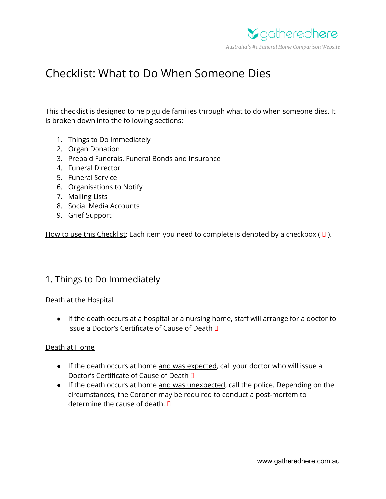

# Checklist: What to Do When Someone Dies

This checklist is designed to help guide families through what to do when someone dies. It is broken down into the following sections:

- 1. Things to Do Immediately
- 2. Organ Donation
- 3. Prepaid Funerals, Funeral Bonds and Insurance
- 4. Funeral Director
- 5. Funeral Service
- 6. Organisations to Notify
- 7. Mailing Lists
- 8. Social Media Accounts
- 9. Grief Support

How to use this Checklist: Each item you need to complete is denoted by a checkbox ( $\Box$ ).

# 1. Things to Do Immediately

### Death at the Hospital

● If the death occurs at a hospital or a nursing home, staff will arrange for a doctor to issue a Doctor's Certificate of Cause of Death

### Death at Home

- If the death occurs at home and was expected, call your doctor who will issue a Doctor's Certificate of Cause of Death
- If the death occurs at home and was unexpected, call the police. Depending on the circumstances, the Coroner may be required to conduct a post-mortem to determine the cause of death.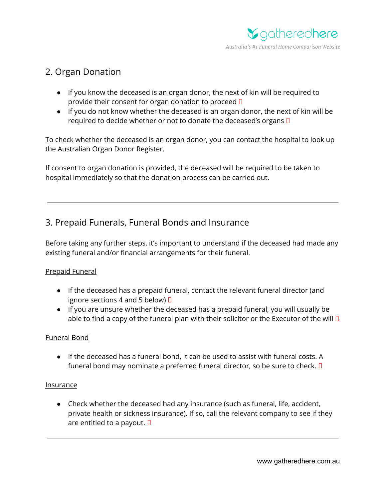

# 2. Organ Donation

- If you know the deceased is an organ donor, the next of kin will be required to provide their consent for organ donation to proceed  $\Box$
- If you do not know whether the deceased is an organ donor, the next of kin will be required to decide whether or not to donate the deceased's organs  $\square$

To check whether the deceased is an organ donor, you can contact the hospital to look up the Australian Organ Donor Register.

If consent to organ donation is provided, the deceased will be required to be taken to hospital immediately so that the donation process can be carried out.

# 3. Prepaid Funerals, Funeral Bonds and Insurance

Before taking any further steps, it's important to understand if the deceased had made any existing funeral and/or financial arrangements for their funeral.

### Prepaid Funeral

- If the deceased has a prepaid funeral, contact the relevant funeral director (and ignore sections 4 and 5 below)  $\Box$
- If you are unsure whether the deceased has a prepaid funeral, you will usually be able to find a copy of the funeral plan with their solicitor or the Executor of the will  $\square$

### Funeral Bond

● If the deceased has a funeral bond, it can be used to assist with funeral costs. A funeral bond may nominate a preferred funeral director, so be sure to check.  $\square$ 

### Insurance

● Check whether the deceased had any insurance (such as funeral, life, accident, private health or sickness insurance). If so, call the relevant company to see if they are entitled to a payout.  $\square$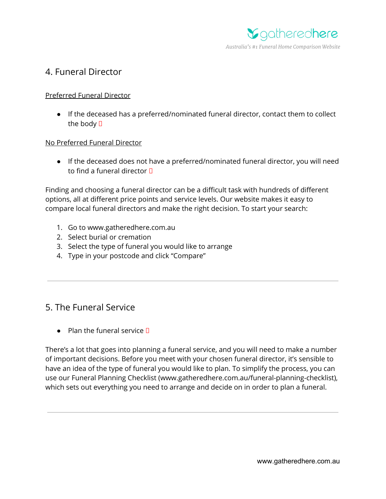

### 4. Funeral Director

### Preferred Funeral Director

● If the deceased has a preferred/nominated funeral director, contact them to collect the body  $\Box$ 

### No Preferred Funeral Director

● If the deceased does not have a preferred/nominated funeral director, you will need to find a funeral director  $\Pi$ 

Finding and choosing a funeral director can be a difficult task with hundreds of different options, all at different price points and service levels. Our website makes it easy to compare local funeral directors and make the right decision. To start your search:

- 1. Go to www.gatheredhere.com.au
- 2. Select burial or cremation
- 3. Select the type of funeral you would like to arrange
- 4. Type in your postcode and click "Compare"

### 5. The Funeral Service

 $\bullet$  Plan the funeral service  $\P$ 

There's a lot that goes into planning a funeral service, and you will need to make a number of important decisions. Before you meet with your chosen funeral director, it's sensible to have an idea of the type of funeral you would like to plan. To simplify the process, you can use our Funeral Planning Checklist (www.gatheredhere.com.au/funeral-planning-checklist), which sets out everything you need to arrange and decide on in order to plan a funeral.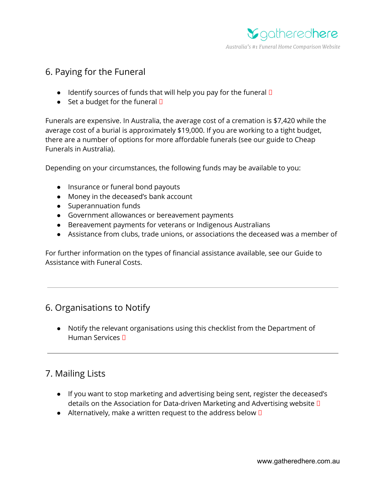

# 6. Paying for the Funeral

- $\bullet$  Identify sources of funds that will help you pay for the funeral  $\square$
- Set a budget for the funeral  $\square$

Funerals are expensive. In Australia, the average cost of a cremation is \$7,420 while the average cost of a burial is approximately \$19,000. If you are working to a tight budget, there are a number of options for more affordable funerals (see our guide to Cheap Funerals in Australia).

Depending on your circumstances, the following funds may be available to you:

- Insurance or funeral bond payouts
- Money in the deceased's bank account
- Superannuation funds
- Government allowances or bereavement payments
- Bereavement payments for veterans or Indigenous Australians
- Assistance from clubs, trade unions, or associations the deceased was a member of

For further information on the types of financial assistance available, see our Guide to Assistance with Funeral Costs.

# 6. Organisations to Notify

● Notify the relevant organisations using this checklist from the Department of Human Services

# 7. Mailing Lists

- If you want to stop marketing and advertising being sent, register the deceased's details on the Association for Data-driven Marketing and Advertising website
- Alternatively, make a written request to the address below  $\square$